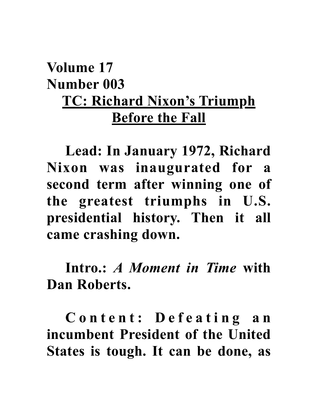## **Volume 17 Number 003 TC: Richard Nixon's Triumph Before the Fall**

**Lead: In January 1972, Richard Nixon was inaugurated for a second term after winning one of the greatest triumphs in U.S. presidential history. Then it all came crashing down.**

**Intro.:** *A Moment in Time* **with Dan Roberts.** 

**C o n t e n t : D e f e a t i n g a n incumbent President of the United States is tough. It can be done, as**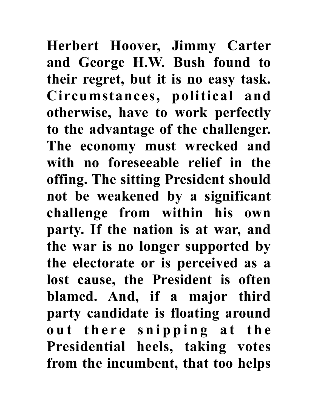**Herbert Hoover, Jimmy Carter and George H.W. Bush found to their regret, but it is no easy task. Circumstances, political and otherwise, have to work perfectly to the advantage of the challenger. The economy must wrecked and with no foreseeable relief in the offing. The sitting President should not be weakened by a significant challenge from within his own party. If the nation is at war, and the war is no longer supported by the electorate or is perceived as a**  lost cause, the President is often **blamed. And, if a major third party candidate is floating around**  out there snipping at the **Presidential heels, taking votes from the incumbent, that too helps**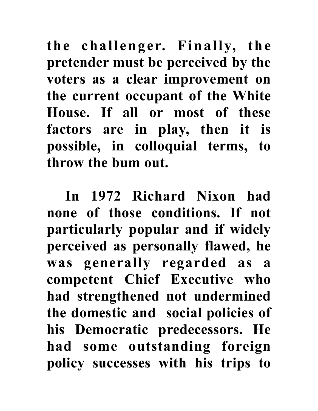**the challenger. Finally, the pretender must be perceived by the voters as a clear improvement on the current occupant of the White House. If all or most of these factors are in play, then it is possible, in colloquial terms, to throw the bum out.**

**In 1972 Richard Nixon had none of those conditions. If not particularly popular and if widely perceived as personally flawed, he was generally regarded as a competent Chief Executive who had strengthened not undermined the domestic and social policies of his Democratic predecessors. He had some outstanding foreign policy successes with his trips to**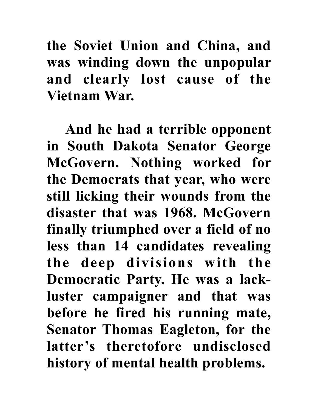**the Soviet Union and China, and was winding down the unpopular**  and clearly lost cause of the **Vietnam War.** 

**And he had a terrible opponent in South Dakota Senator George McGovern. Nothing worked for the Democrats that year, who were still licking their wounds from the disaster that was 1968. McGovern finally triumphed over a field of no less than 14 candidates revealing the deep divisions with the Democratic Party. He was a lackluster campaigner and that was before he fired his running mate, Senator Thomas Eagleton, for the latter's theretofore undisclosed history of mental health problems.**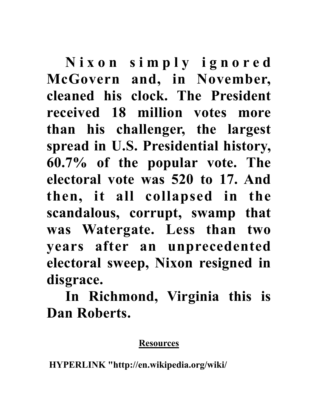**N i x o n s i m p l y i g n o r e d McGovern and, in November, cleaned his clock. The President received 18 million votes more than his challenger, the largest spread in U.S. Presidential history, 60.7% of the popular vote. The electoral vote was 520 to 17. And then, it all collapsed in the scandalous, corrupt, swamp that was Watergate. Less than two years after an unprecedented electoral sweep, Nixon resigned in disgrace.**

**In Richmond, Virginia this is Dan Roberts.**

## **Resources**

 **HYPERLINK "http://en.wikipedia.org/wiki/**